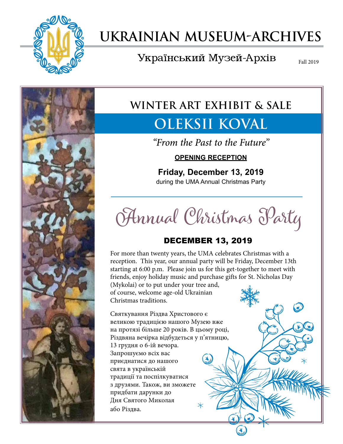

# **Ukrainian Museum-Archives**

# Український Музей-Архів

Fall 2019



# **WINTER ART EXHIBIT & SALE**

# **Oleksii Koval**

*"From the Past to the Future"*

### **OPENING RECEPTION**

## **Friday, December 13, 2019** during the UMA Annual Christmas Party

**Annual Christmas Party**

# DECEMBER 13, 2019

For more than twenty years, the UMA celebrates Christmas with a reception. This year, our annual party will be Friday, December 13th starting at 6:00 p.m. Please join us for this get-together to meet with friends, enjoy holiday music and purchase gifts for St. Nicholas Day

(Mykolai) or to put under your tree and, of course, welcome age-old Ukrainian Christmas traditions.

Святкування Різдва Христового є великою традицією нашого Музею вже на протязі більше 20 років. В цьому році, Різдвяна вечірка відбудеться у п'ятницю, 13 грудня о 6-ій вечора. Запрошуємо всіх вас приєднатися до нашого свята в українській традиції та поспілкуватися з друзями. Також, ви зможете придбати дарунки до Дня Святого Миколая або Різдва.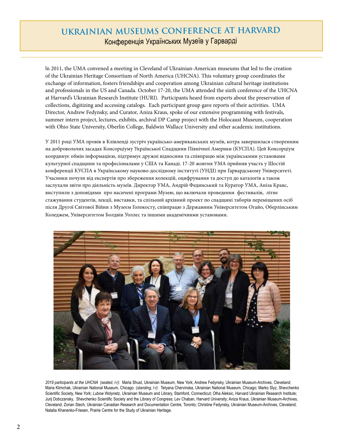# **Ukrainian Museums Conference at Harvard** Конференція Українських Музеїв у Гарварді

In 2011, the UMA convened a meeting in Cleveland of Ukrainian-American museums that led to the creation of the Ukrainian Heritage Consortium of North America (UHCNA). This voluntary group coordinates the exchange of information, fosters friendships and cooperation among Ukrainian cultural heritage institutions and professionals in the US and Canada. October 17-20, the UMA attended the sixth conference of the UHCNA at Harvard's Ukrainian Research Institute (HURI). Participants heard from experts about the preservation of collections, digitizing and accessing catalogs. Each participant group gave reports of their activities. UMA Director, Andrew Fedynsky, and Curator, Aniza Kraus, spoke of our extensive programming with festivals, summer intern project, lectures, exhibits, archival DP Camp project with the Holocaust Museum, cooperation with Ohio State University, Oberlin College, Baldwin Wallace University and other academic institutions.

У 2011 році УМА провів в Клівленді зустріч українсько-американських музеїв, котра завершилася створенням на добровольчих засадах Консорціуму Української Спадщини Північної Америки (КУСПА). Цей Консорціум координує обмін інформацією, підтримує дружні відносини та співпрацю між українськими установами культурної спадщини та професіоналами у США та Канаді. 17-20 жовтня УМА прийняв участь у Шостій конференції КУСПА в Українському науково-дослідному інституті (УНДІ) при Гарвардському Університеті. Учасники почули від експертів про збереження колекцій, оцифрування та доступ до каталогів а також заслухали звіти про діяльність музеїв. Директор УМА, Андрій Фединський та Куратор УМА, Аніза Кравс, виступили з доповідями про насичені програми Музею, що включали проведення фестивалів, літнє стажування студентів, лекції, виставки, та спільний архівний проект по спадщині таборів переміщених осіб після Другої Світової Війни з Музеєм Голокосту, співпрацю з Державним Університетом Огайо, Оберлінським Коледжем, Університетом Болдвін Уоллес та іншими академічними установами.



*2019 participants at the UHCNA (seated, l-r):* Maria Shust, Ukrainian Museum, New York; Andrew Fedynsky, Ukrainian Museum-Archives, Cleveland; Maria Klimchak, Ukrainian National Museum, Chicago. (*standing, l-r)*: Tetyana Chervinska, Ukrainian National Museum, Chicago; Marko Slyz, Shevchenko Scientific Society, New York; Lubow Wolynetz, Ukrainian Museum and Library, Stamford, Connecticut; Olha Aleksic, Harvard Ukrainian Research Institute; Jurij Dobczansky, Shevchenko Scientific Society and the Library of Congress; Lev Chaban, Harvard University; Aniza Kraus, Ukrainian Museum-Archives, Cleveland; Zorian Stech, Ukrainian Canadian Research and Documentation Centre, Toronto; Christine Fedynsky, Ukrainian Museum-Archives, Cleveland; Natalia Khanenko-Friesen, Prairie Centre for the Study of Ukrainian Heritage.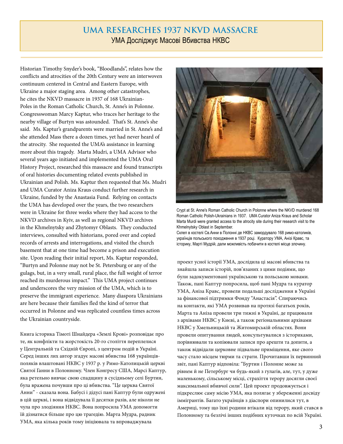### **UMA Researches 1937 NKVD Massacre** УМА Досліджує Масові Вбивства НКВC

Historian Timothy Snyder's book, "Bloodlands", relates how the conflicts and atrocities of the 20th Century were an interwoven continuum centered in Central and Eastern Europe, with Ukraine a major staging area. Among other catastrophes, he cites the NKVD massacre in 1937 of 168 Ukrainian-Poles in the Roman Catholic Church, St. Anne's in Polonne. Congresswoman Marcy Kaptur, who traces her heritage to the nearby village of Burtyn was astounded. That's St. Anne's she said. Ms. Kaptur's grandparents were married in St. Anne's and she attended Mass there a dozen times, yet had never heard of the atrocity. She requested the UMA's assistance in learning more about this tragedy. Marta Mudri, a UMA Advisor who several years ago initiated and implemented the UMA Oral History Project, researched this massacre and found transcripts of oral histories documenting related events published in Ukrainian and Polish. Ms. Kaptur then requested that Ms. Mudri and UMA Curator Aniza Kraus conduct further research in Ukraine, funded by the Anastasia Fund. Relying on contacts the UMA has developed over the years, the two researchers were in Ukraine for three weeks where they had access to the NKVD archives in Kyiv, as well as regional NKVD archives in the Khmelnytsky and Zhytomyr Oblasts. They conducted interviews, consulted with historians, pored over and copied records of arrests and interrogations, and visited the church basement that at one time had become a prison and execution site. Upon reading their initial report, Ms. Kaptur responded, "Burtyn and Polonne may not be St. Petersburg or any of the gulags, but, in a very small, rural place, the full weight of terror reached its murderous impact." This UMA project continues and underscores the very mission of the UMA, which is to preserve the immigrant experience. Many diaspora Ukrainians are here because their families fled the kind of terror that occurred in Polonne and was replicated countless times across the Ukrainian countryside.

Книга історика Тімоті Шнайдера «Землі Крові» розповідає про те, як конфлікти та жорстокість 20-го століття переплелися у Центральній та Східній Європі, з центром подій в Україні. Серед інших лих автор згадує масові вбивства 168 українцівполяків влаштовані НКВC у 1937 р. у Римо-Католицькій церкві Святої Ганни в Полонному. Член Конгресу США, Марсі Каптур, яка ретельно вивчає свою спадщину в сусідньому селі Буртин, була вражена почувши про ці вбивства. "Це церква Святої Анни" - сказала вона. Бабусі і дідусі пані Каптур були одружені в цій церкві, і вона відвідувала її десятки разів, але ніколи не чула про злодіяння НКВC. Вона попросила УМА допомогти їй дізнатися більше про цю трагедію. Марта Мудра, радник УМА, яка кілька років тому ініціювала та впроваджувала



Crypt at St. Anne's Roman Catholic Church in Polonne where the NKVD murdered 168 Roman Catholic Polish-Ukrainians in 1937. UMA Curator Aniza Kraus and Scholar Marta Murdi were granted access to the atrocity site during their research visit to the Khmelnytsky Oblast in September. Склеп в костелі Св.Aнни в Полонні де НКВС замордувало 168 римо-католиків, українців польського походження в 1937 році. Куратору УМА, Анізі Кравс, та історику, Марті Мудрій, дали можливість побачити в костелі місце злочину.

проект усної історії УМА, дослідила ці масові вбивства та знайшла записи історій, пов'язаних з цими подіями, що були задокументовані українською та польською мовами. Також, пані Каптур попросила, щоб пані Мудра та куратор УМА, Аніза Кравс, провели подальші дослідження в Україні за фінансової підтримки Фонду "Анастасія". Спираючись на контакти, які УМА розвивав на протязі багатьох років, Марта та Аніза провели три тижні в Україні, де працювали з архівами НКВC у Києві, а також регіональними архівами НКВC у Хмельницькій та Житомирській областях. Вони провели опитування людей, консультувалися з істориками, порівнювали та копіювали записи про арешти та допити, а також відвідали церковне підвальне приміщення, яке свого часу стало місцем тюрми та страти. Прочитавши їх первинний звіт, пані Каптур відповіла: "Буртин і Полонне може за рівнем й не Петербург чи будь-який з гулагів, але, тут, у дуже маленькому, сільському місці, страхіття терору досягли своєї максимальної вбивчої сили". Цей проект продовжується і підкреслює саму місію УМА, яка полягає у збереженні досвіду іммігрантів. Багато українців з діаспори опинилися тут, в Америці, тому що їхні родини втікали від терору, який стався в Полонному та безлічі інших подібних куточках по всій Україні.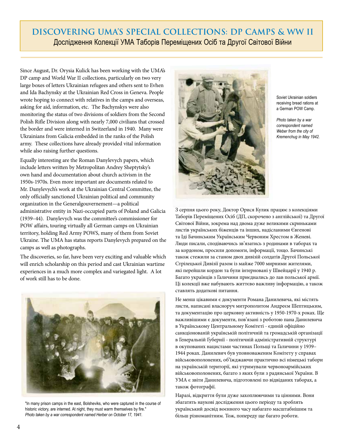## **Discovering UMA's Special Collections: DP camps & WW II** Дослідження Колекції УМА Таборів Переміщених Осіб та Другої Світової Війни

Since August, Dr. Orysia Kulick has been working with the UMA's DP camp and World War II collections, particularly on two very large boxes of letters Ukrainian refugees and others sent to Evhen and Ida Bachynsky at the Ukrainian Red Cross in Geneva. People wrote hoping to connect with relatives in the camps and overseas, asking for aid, information, etc. The Bachynskys were also monitoring the status of two divisions of soldiers from the Second Polish Rifle Division along with nearly 7,000 civilians that crossed the border and were interned in Switzerland in 1940. Many were Ukrainians from Galicia embedded in the ranks of the Polish army. These collections have already provided vital information while also raising further questions.

Equally interesting are the Roman Danylevych papers, which include letters written by Metropolitan Andrey Sheptytsky's own hand and documentation about church activism in the 1950s-1970s. Even more important are documents related to Mr. Danylevych's work at the Ukrainian Central Committee, the only officially sanctioned Ukrainian political and community organization in the Generalgouvernement—a political administrative entity in Nazi-occupied parts of Poland and Galicia (1939–44). Danylevych was the committee's commissioner for POW affairs, touring virtually all German camps on Ukrainian territory, holding Red Army POWS, many of them from Soviet Ukraine. The UMA has status reports Danylevych prepared on the camps as well as photographs.

The discoveries, so far, have been very exciting and valuable which will enrich scholarship on this period and cast Ukrainian wartime experiences in a much more complex and variegated light. A lot of work still has to be done.



"In many prison camps in the east, Bolsheviks, who were captured in the course of historic victory, are interned. At night, they must warm themselves by fire." *Photo taken by a war correspondent named Herber on October 17, 1941.* 



Soviet Ukrainian soldiers receiving bread rations at a German POW Camp.

*Photo taken by a war correspondent named Weber from the city of Kremenchug in May 1942.* 

З серпня цього року, Доктор Орися Кулик працює з колекціями Таборів Переміщених Осіб (ДП, скорочено з англійської) та Другої Світової Війни, зокрема над двома дуже великими скриньками листів українських біженців та інших, надісланими Євгенові та Іді Бачинським Українським Червоним Хрестом в Женеві. Люди писали, сподіваючись зв'язатись з родинами в таборах та за кордоном, просили допомоги, інформації, тощо. Бачинські також стежили за станом двох дивізій солдатів Другої Польської Стрілецької Дивізії разом із майже 7000 мирними жителями, які перейшли кордон та були інтерновані у Швейцарії у 1940 р. Багато українців з Галичини приєднались до лав польської армії. Ці колекції вже набувають життєво важливу інформацію, а також ставлять додаткові питання.

Не менш цікавими є документи Романа Данилевича, які містять листи, написані власноруч митрополитом Андреєм Шептицьким, та документацію про церковну активність у 1950-1970-х роках. Ще важливішими є документи, пов'язані з роботою пана Данилевича в Українському Центральному Комітеті - єдиній офіційно санкціонованій українській політичній та громадській організації в Генеральній Ґубернії - політичній адміністративній структурі в окупованих нацистами частинах Польщі та Галичини у 1939– 1944 роках. Данилевич був уповноваженим Комітету у справах військовополонених, об'їжджаючи практично всі німецькі табори на українській території, які утримували червоноармійських військовополонених, багато з яких були з радянської України. В УМА є звіти Данилевича, підготовлені по відвіданих таборах, а також фотографії.

Наразі, відкриття були дуже захоплюючими та цінними. Вони збагатять наукові дослідження цього періоду та зроблять український досвід воєнного часу набагато масштабнішим та більш різноманітним. Тож, попереду ще багато роботи.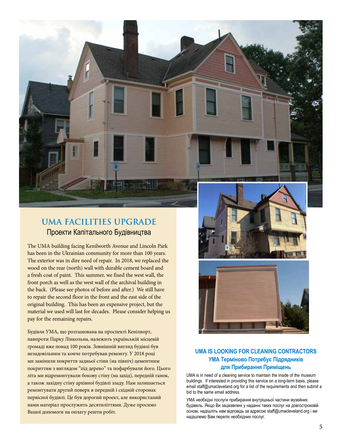## **UMA Facilities Upgrade** Проекти Капітального Будівництва

The UMA building facing Kenilworth Avenue and Lincoln Park has been in the Ukrainian community for more than 100 years. The exterior was in dire need of repair. In 2018, we replaced the wood on the rear (north) wall with durable cement board and a fresh coat of paint. This summer, we fixed the west wall, the front porch as well as the west wall of the archival building in the back. (Please see photos of before and after.) We still have to repair the second floor in the front and the east side of the original building. This has been an expensive project, but the material we used will last for decades. Please consider helping us pay for the remaining repairs.

Будівля УМА, що розташована на проспекті Кенілворт, навпроти Парку Лінкольна, належить українській місцевій громаді вже понад 100 років. Зовнішній вигляд будівлі був незадовільним та конче потребував ремонту. У 2018 році ми замінили покриття задньої стіни (на північ) цементним покриттям з виглядом "під дерево" та пофарбували його. Цього літа ми відремонтували бокову стіну (на захід), передній ганок, а також західну стіну архівної будівлі ззаду. Нам залишається ремонтувати другий поверх в передній і східній сторонах первісної будівлі. Це був дорогий проект, але використаний нами матеріал прослужить десятиліттями. Дуже просимо Вашої допомоги на оплату решти робіт.





#### **UMA IS LOOKING FOR CLEANING CONTRACTORS УМА Терміново Потребує Підрядників для Прибирання Приміщень**

UMA is in need of a cleaning service to maintain the inside of the museum buildings. If interested in providing this service on a long-term basis, please email staff@umacleveland.org for a list of the requirements and then submit a bid to the same email address.

УМА необхідні послуги прибирання внутрішньої частини музейних будівель. Якщо Ви зацікавлені у наданні таких послуг на довгостроковій основі, надішліть нам відповідь за адресою staff@umacleveland.org і ми надішлемо Вам перелік необхідних послуг.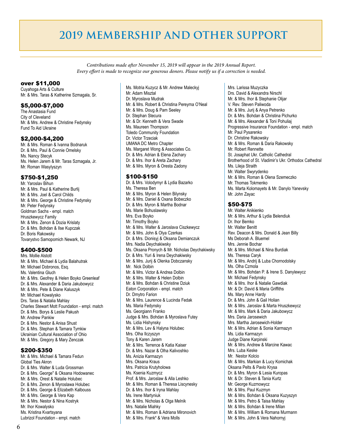# **2019 MEMBERSHIP AND OTHER SUPPORT**

*Contributions made after November 15, 2019 will appear in the 2019 Annual Report. Every effort is made to recognize our generous donors. Please notify us if a correction is needed.*

#### over \$11,000

Cuyahoga Arts & Culture Mr. & Mrs. Taras & Katherine Szmagala, Sr.

#### \$5,000-\$7,000

The Anastasia Fund City of Cleveland Mr. & Mrs. Andrew & Christine Fedynsky Fund To Aid Ukraine

#### \$2,000-\$4,200

Mr. & Mrs. Roman & Ivanna Bodnaruk Dr. & Mrs. Paul & Connie Omelsky Ms. Nancy Stecyk Ms. Helen Jarem & Mr. Taras Szmagala, Jr. Mr. Roman Wasylyszyn

#### \$750-\$1,250

Mr. Yaroslav Bihun Mr. & Mrs. Paul & Katherine Burlij Mr. & Mrs. Joel & Carol Childs Mr. & Mrs. George & Christine Fedynsky Mr. Peter Fedynsky Goldman Sachs - empl. match Hruszkewycz Family Mr. & Mrs. Zenon & Dozia Krislaty Dr. & Mrs. Bohdan & Ilse Kupczak Dr. Boris Rakowsky Tovarystvo Samopomich Newark, NJ

#### \$400-\$500

Mrs. Mollie Alstott Mr. & Mrs. Michael & Lydia Balahutrak Mr. Michael Dobronos, Esq. Ms. Valentina Gluch Mr. & Mrs. Geofrey & Helen Boyko Greenleaf Dr. & Mrs. Alexander & Daria Jakubowycz Mr. & Mrs. Pete & Diane Kaluszyk Mr. Michael Kowalysko Drs. Taras & Natalia Mahlay Charles Stewart Mott Foundation - empl. match Dr. & Mrs. Borys & Leslie Pakush Mr. Andrew Pankiw Dr. & Mrs. Nestor & Anisa Shust Dr. & Mrs. Stephan & Tamara Tymkiw Ukrainian Cultural Association of Ohio Mr. & Mrs. Gregory & Mary Zenczak

#### \$200-\$350

Mr. & Mrs. Michael & Tamara Fedun Global Ties Akron Dr. & Mrs. Walter & Luda Grossman Dr. & Mrs. George<sup>+</sup> & Oksana Hodowanec Mr. & Mrs. Orest & Natalie Holubec Dr. & Mrs. Zenon & Myroslawa Holubec Dr. & Mrs. George & Elizabeth Kalbouss Mr. & Mrs. George & Vera Kap Mr. & Mrs. Nestor & Nina Kostryk Mr. Ihor Kowalysko Ms. Kristina Kvartsyana Lubrizol Foundation - empl. match

Ms. Motria Kuzycz & Mr. Andrew Maleckyj Mr. Adam Misztal Dr. Myroslava Mudrak Mr. & Mrs. Robert & Christina Pereyma O'Neal Mr. & Mrs. Doug & Pam Seeley Dr. Stephan Stecura Mr. & Dr. Kenneth & Vera Swade Ms. Maureen Thompson Toledo Community Foundation Dr. Victor Trzeciak UMANA DC Metro Chapter Ms. Margaret Wong & Associates Co. Dr. & Mrs. Adrian & Elena Zachary Dr. & Mrs. Ihor & Areta Zachary Mr. & Mrs. Myron & Oresta Zadony

#### \$100-\$150

Dr. & Mrs. Volodymyr & Lydia Bazarko Ms. Theresa Ben Mr. & Mrs. Myron & Helen Bilynsky Mr. & Mrs. Daniel & Oxana Bobeczko Dr. & Mrs. Myron & Martha Bodnar Ms. Marie Bohuslawsky Mrs. Eva Boyko Mr. Timothy Boyko Mr. & Mrs. Walter & Jaroslava Ciszkewycz Mr. & Mrs. John & Olya Czerkas Dr. & Mrs. Dionisyj & Oksana Demianczuk Mrs. Nadia Deychakiwsky Ms. Oksana Pronych & Mr. Nicholas Deychakiwsky Dr. & Mrs. Yuri & Irena Deychakiwsky Mr. & Mrs. Jurij & Olenka Dobczansky Mr. Nick Dolbin Mr. & Mrs. Victor & Andrea Dolbin Mr. & Mrs. Walter & Helen Dolbin Mr. & Mrs. Bohdan & Christine Dziuk Eaton Corporation - empl. match Dr. Dmytro Farion Mr. & Mrs. Laurence & Lucinda Fedak Ms. Maria Fedynsky Ms. Georgiann Franko Judge & Mrs. Bohdan & Myroslava Futey Ms. Lidia Hishynsky Mr. & Mrs. Lev & Halyna Holubec Mrs. Olha Ilczyszyn Tony & Karen Jarem Mr. & Mrs. Terrence & Katia Kaiser Dr. & Mrs. Nazar & Olha Kalivoshko Ms. Anizia Karmazyn Mrs. Oksana Kraus Mrs. Patricia Krutyholowa Ms. Ksenia Kuzmycz Prof. & Mrs. Jaroslaw & Alla Leshko Mr. & Mrs. Roman & Theresa Liscynesky Dr. & Mrs. Ihor & Iryna Mahlay Ms. Irene Martyniuk Mr. & Mrs. Nicholas & Olga Melnik Mrs. Natalie Miahky Mr. & Mrs. Roman & Adriana Mironovich Mr. & Mrs. Frank<sup>↑</sup> & Vera Molls

Mrs. Larissa Muzyczka Drs. David & Alexandra Nirschl Mr. & Mrs. Ihor & Stephanie Olijar V. Rev. Steven Paliwoda Mr. & Mrs. Jurij & Anya Petrenko Dr. & Mrs. Bohdan & Christina Pichurko Mr. & Mrs. Alexander & Toni Pohuliaj Progressive Insurance Foundation - empl. match Mr. Paul Pysarenko Dr. Christine Rakowsky Mr. & Mrs. Roman & Daria Rakowsky Mr. Robert Rennette St. Josaphat Ukr. Catholic Cathedral Brotherhood of St. Vladimir's Ukr. Orthodox Cathedral Ms. Lileia Straith Mr. Walter Swyrydenko Mr. & Mrs. Roman & Olena Szemeczko Mr. Thomas Tokmenko Ms. Marta Kolomayets & Mr. Danylo Yanevsky Mr. John Zayac

#### \$50-\$75

Mr. Walter Anikienko Mr. & Mrs. Arthur & Lydia Belendiuk Dr. Ihor Bemko Mr. Walter Benitt Rev. Deacon & Mrs. Donald & Jean Billy Ms Deborah A. Bluemel Mrs. Jennie Bochar Mr. & Mrs. Michael & Nina Burdiak Ms. Theresa Caryk Mr. & Mrs. Andrij & Luba Chornodolsky Ms. Olha Czmola Mr. & Mrs. Bohdan P. & Irene S. Danylewycz Mr. Michael Fedynsky Mr. & Mrs. Ihor & Natalie Gawdiak Mr. & Dr. David & Maria Griffiths Ms. Mary Anne Hardy Dr. & Mrs. John & Gail Holian Mr. & Mrs. Jaroslav & Marta Hruszkewycz Mr. & Mrs. Mark & Daria Jakubowycz Mrs. Daria Jarosewich Mrs. Martha Jarosewich-Holder Mr. & Mrs. Adrian & Sonia Karmazyn Ms. Lidia Karmazyn Judge Diane Karpinski Mr. & Mrs. Andrew & Marcine Kawac Mrs. Luba Keske Mr. Nestor Kolcio Mr. & Mrs. Markian & Lucy Komichak Oksana Pelts & Pavlo Krysa Dr. & Mrs. Myron & Lesia Kuropas Mr. & Dr. Steven & Tania Kurtz Mr. George Kuzmowycz Mr. & Mrs. Paul Kuzmyn Mr. & Mrs. Bohdan & Oksana Kuzyszyn Mr. & Mrs. Petro & Taisa Mahlay Mr. & Mrs. Bohdan & Irene Milan Mr. & Mrs. William & Romana Murmann Mr. & Mrs. John & Vera Nahornyj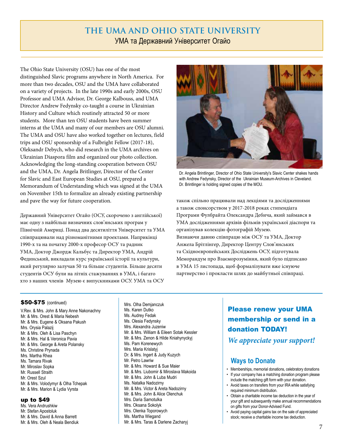### **The UMA and Ohio State University** УМА та Державний Університет Огайо

The Ohio State University (OSU) has one of the most distinguished Slavic programs anywhere in North America. For more than two decades, OSU and the UMA have collaborated on a variety of projects. In the late 1990s and early 2000s, OSU Professor and UMA Advisor, Dr. George Kalbouss, and UMA Director Andrew Fedynsky co-taught a course in Ukrainian History and Culture which routinely attracted 50 or more students. More than ten OSU students have been summer interns at the UMA and many of our members are OSU alumni. The UMA and OSU have also worked together on lectures, field trips and OSU sponsorship of a Fulbright Fellow (2017-18), Oleksandr Debych, who did research in the UMA archives on Ukrainian Diaspora film and organized our photo collection. Acknowledging the long-standing cooperation between OSU and the UMA, Dr. Angela Britlinger, Director of the Center for Slavic and East European Studies at OSU, prepared a Memorandum of Understanding which was signed at the UMA on November 15th to formalize an already existing partnership and pave the way for future cooperation.

Державний Університет Огайо (ОСУ, скорочено з англійської) має одну з найбільш визначних слов'янських програм у Північній Америці. Понад два десятиліття Університет та УМА співпрацювали над різноманітними проектами. Наприкінці 1990-х та на початку 2000-х професор ОСУ та радник УМА, Доктор Джордж Кальбус та Директор УМА, Андрій Фединський, викладали курс української історії та культури, який регулярно залучав 50 та більше студентів. Більше десяти студентів ОСУ були на літніх стажуваннях в УМА, і багато хто з наших членів Музею є випускниками ОСУ. УМА та ОСУ



Dr. Angela Brintlinger, Director of Ohio State University's Slavic Center shakes hands with Andrew Fedynsky, Director of the Ukrainian Museum-Archives in Cleveland. Dr. Brintlinger is holding signed copies of the MOU.

також спільно працювали над лекціями та дослідженнями а також спонсорством у 2017-2018 роках стипендіата Програми Фулбрайта Олександра Дебича, який займався в УМА дослідженнями архівів фільмів української діаспори та організував колекцію фотографій Музею. Визнаючи давню співпрацю між ОСУ та УМА, Доктор Анжела Брітлінгер, Директор Центру Слов'янських та Східноєвропейських Досліджень ОСУ, підготувала Меморандум про Взаєморозуміння, який було підписано в УМА 15 листопада, щоб формалізувати вже існуюче партнерство і прокласти шлях до майбутньої співпраці.

#### \$50-\$75 (continued)

V.Rev. & Mrs. John & Mary Anne Nakonachny Mr. & Mrs. Orest & Maria Nebesh Mr. & Mrs. Eugene & Oksana Pakush Mrs. Orysia Palazij Mr. & Mrs. Oleh & Lisa Paschyn Mr. & Mrs. Hal & Veronica Pavia Mr. & Mrs. George & Areta Polansky Ms. Christine Prynada Mrs. Martha Rhea Ms. Tamara Rivak Mr. Miroslav Sopka Mr. Russell Straith Mr. Orest Szul Mr. & Mrs. Volodymyr & Olha Tchepak Mr. & Mrs. Marion & Lydia Vyrsta

#### up to \$49

Ms. Vera Andrushkiw Mr. Stefan Apostoluk Mr. & Mrs. David & Anna Barrett Mr. & Mrs. Oleh & Neala Bendiuk

Mrs. Olha Demjanczuk Ms. Karen Dutko Ms. Audrey Fedak Ms. Olesia Fedynsky Mrs. Alexandra Juzeniw Mr. & Mrs. William & Eileen Sotak Kessler Mr. & Mrs. Zenon & Hilde Kniahynyckyj Ms. Pam Korenewych Mrs. Maria Krislatyj Dr. & Mrs. Ingert & Judy Kuzych Mr. Petro Lawriw Mr. & Mrs. Howard & Sue Maier Mr. & Mrs. Liubomir & Miroslava Makoida Mr. & Mrs. John & Luba Mudri Ms. Natalka Nadozirny Mr. & Mrs. Victor & Areta Nadozirny Mr. & Mrs. John & Alice Olenchuk Mrs. Daria Samotulka Mrs. Oksana Sokolyk Mrs. Olenka Toporowych Ms. Martha Wiegand

Mr. & Mrs. Taras & Darlene Zacharyj

Please renew your UMA membership or send in a donation TODAY! *We appreciate your support!*

#### **Ways to Donate**

- Memberships, memorial donations, celebratory donations
- If your company has a matching donation program please include the matching gift form with your donation.
- Avoid taxes on transfers from your IRA while satisfying required minimum distribution.
- Obtain a charitable income tax deduction in the year of your gift and subsequently make annual recommendations on gifts from your Donor-Advised Fund.
- Avoid paying capital gains tax on the sale of appreciated stock; receive a charitable income tax deduction.